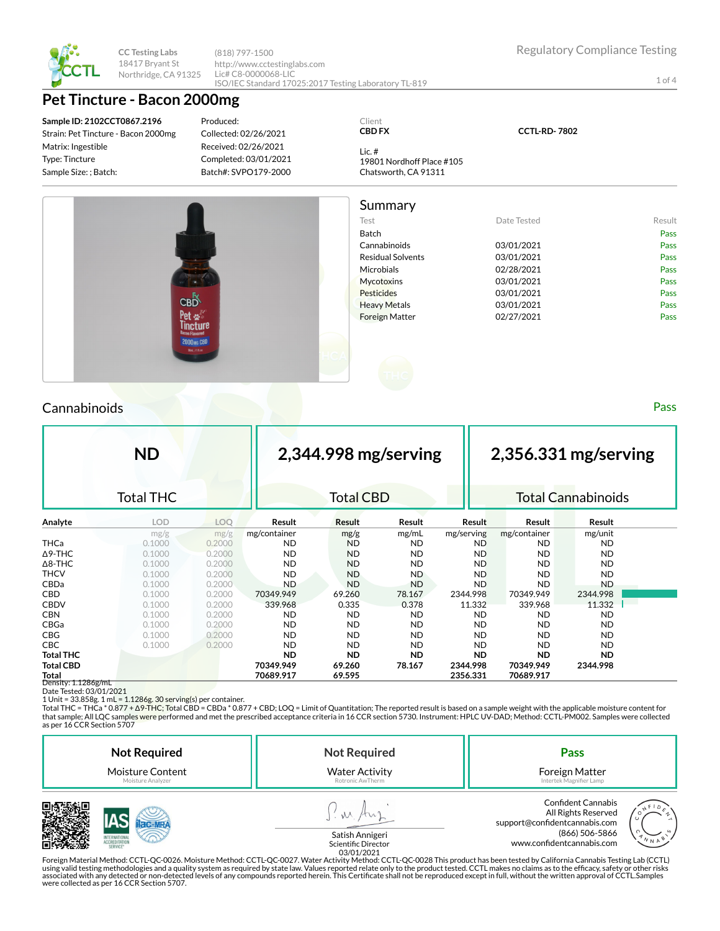

# **Pet Tincture - Bacon 2000mg**

Strain: Pet Tincture - Bacon 2000mg Matrix: Ingestible Type: Tincture Sample Size: ; Batch:



1 of 4

**Sample ID: 2102CCT0867.2196** Produced: Client **CBD FX CCTL-RD- 7802** Collected: 02/26/2021 Received: 02/26/2021 Lic. # Completed: 03/01/2021 19801 Nordhoff Place #105 Batch#: SVPO179-2000 Chatsworth, CA 91311 Summary Test **Date Tested** Result Batch Pass Cannabinoids 03/01/2021 Pass Residual Solvents **COMPUS** 03/01/2021 Microbials **D2/28/2021** Pass Mycotoxins 03/01/2021 Pass Pesticides 03/01/2021 Pass **CBD** Heavy Metals **D3/01/2021** Pass Pet » Foreign Matter 02/27/2021 Pass **incture Cannabinoids** Pass **Pass Pass Pass Pass Pass Pass Pass Pass Pass Pass** 

|                  | <b>ND</b>        |            |              | 2,344.998 mg/serving |           |            | 2,356.331 mg/serving |                           |  |  |
|------------------|------------------|------------|--------------|----------------------|-----------|------------|----------------------|---------------------------|--|--|
|                  | <b>Total THC</b> |            |              | <b>Total CBD</b>     |           |            |                      | <b>Total Cannabinoids</b> |  |  |
| Analyte          | <b>LOD</b>       | <b>LOO</b> | Result       | Result               | Result    | Result     | Result               | Result                    |  |  |
|                  | mg/g             | mg/g       | mg/container | mg/g                 | mg/mL     | mg/serving | mg/container         | mg/unit                   |  |  |
| <b>THCa</b>      | 0.1000           | 0.2000     | <b>ND</b>    | <b>ND</b>            | ND        | <b>ND</b>  | ND.                  | ND.                       |  |  |
| $\Delta$ 9-THC   | 0.1000           | 0.2000     | <b>ND</b>    | <b>ND</b>            | <b>ND</b> | <b>ND</b>  | <b>ND</b>            | <b>ND</b>                 |  |  |
| $\Delta$ 8-THC   | 0.1000           | 0.2000     | <b>ND</b>    | <b>ND</b>            | <b>ND</b> | <b>ND</b>  | <b>ND</b>            | <b>ND</b>                 |  |  |
| <b>THCV</b>      | 0.1000           | 0.2000     | <b>ND</b>    | <b>ND</b>            | <b>ND</b> | <b>ND</b>  | <b>ND</b>            | <b>ND</b>                 |  |  |
| CBDa             | 0.1000           | 0.2000     | <b>ND</b>    | <b>ND</b>            | <b>ND</b> | <b>ND</b>  | <b>ND</b>            | <b>ND</b>                 |  |  |
| CBD              | 0.1000           | 0.2000     | 70349.949    | 69.260               | 78.167    | 2344.998   | 70349.949            | 2344.998                  |  |  |
| <b>CBDV</b>      | 0.1000           | 0.2000     | 339.968      | 0.335                | 0.378     | 11.332     | 339.968              | 11.332                    |  |  |
| <b>CBN</b>       | 0.1000           | 0.2000     | <b>ND</b>    | <b>ND</b>            | <b>ND</b> | <b>ND</b>  | <b>ND</b>            | <b>ND</b>                 |  |  |
| CBGa             | 0.1000           | 0.2000     | <b>ND</b>    | <b>ND</b>            | <b>ND</b> | <b>ND</b>  | <b>ND</b>            | <b>ND</b>                 |  |  |
| <b>CBG</b>       | 0.1000           | 0.2000     | <b>ND</b>    | <b>ND</b>            | <b>ND</b> | <b>ND</b>  | <b>ND</b>            | <b>ND</b>                 |  |  |
| <b>CBC</b>       | 0.1000           | 0.2000     | ND.          | <b>ND</b>            | <b>ND</b> | <b>ND</b>  | <b>ND</b>            | <b>ND</b>                 |  |  |
| <b>Total THC</b> |                  |            | <b>ND</b>    | <b>ND</b>            | <b>ND</b> | <b>ND</b>  | <b>ND</b>            | <b>ND</b>                 |  |  |
| <b>Total CBD</b> |                  |            | 70349.949    | 69.260               | 78.167    | 2344.998   | 70349.949            | 2344.998                  |  |  |
| Total            |                  |            | 70689.917    | 69.595               |           | 2356.331   | 70689.917            |                           |  |  |

Density: 1.1286g/mL Date Tested: 03/01/2021

1 Unit = 33.858g. 1 mL = 1.1286g. 30 serving(s) per container.<br>Total THC = THCa \* 0.877 + Δ9-THC; Total CBD = CBDa \* 0.877 + CBD; LOQ = Limit of Quantitation; The reported result is based on a sample weight with the appli that sample; All LQC samples were performed and met the prescribed acceptance criteria in 16 CCR section 5730. Instrument: HPLC UV-DAD; Method: CCTL-PM002. Samples were collected as per 16 CCR Section 5707

| <b>Not Required</b>     | <b>Not Required</b>   | Pass                                                                              |  |  |  |
|-------------------------|-----------------------|-----------------------------------------------------------------------------------|--|--|--|
| <b>Moisture Content</b> | <b>Water Activity</b> | Foreign Matter                                                                    |  |  |  |
| Moisture Analyzer       | Rotronic AwTherm      | Intertek Magnifier Lamp                                                           |  |  |  |
|                         |                       | <b>Confident Cannabis</b><br>All Rights Reserved<br>support@confidentcannabis.com |  |  |  |



Satish Annigeri Scientific Director

03/01/2021<br>Foreign Material Method: CCTL-QC-0026. Moisture Method: CCTL-QC-0027. Water Activity Method: CCTL-QC-0028 This product has been tested by California Cannabis Testing Lab (CCTL) حدوث 197 using valid testing methodologies and a quality system as required by state law. Values reported relate only to the product tested. CCTL makes no claims as to the efficacy, safety or other risks<br>associated with any detecte were collected as per 16 CCR Section 5707.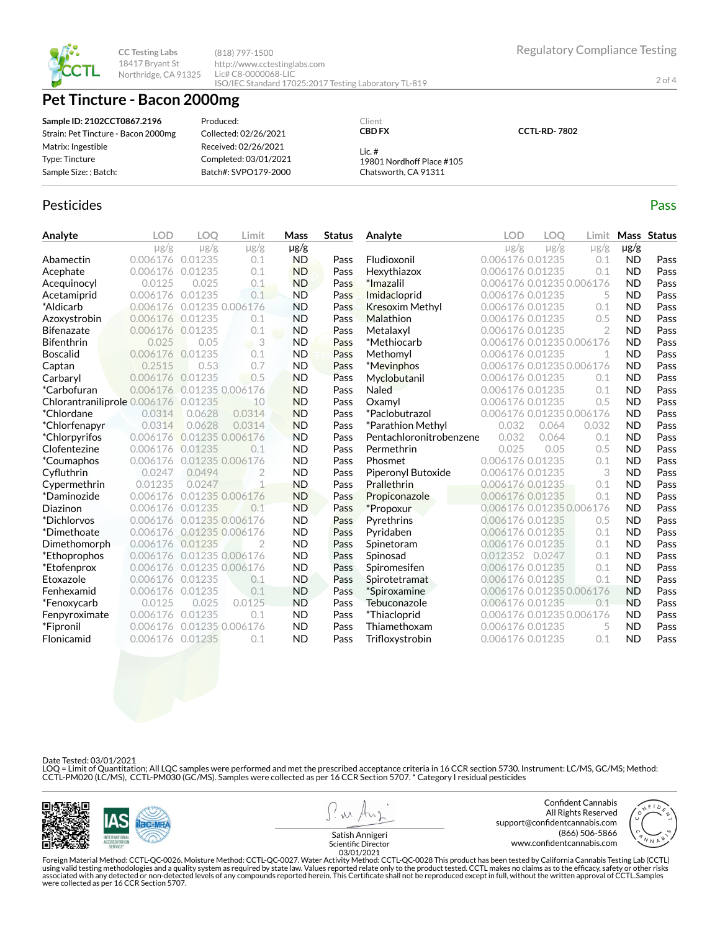

# **Pet Tincture - Bacon 2000mg**

| <b>Regulatory Compliance Testing</b> |  |  |
|--------------------------------------|--|--|
|                                      |  |  |

2 of 4

#### **Sample ID: 2102CCT0867.2196** Strain: Pet Tincture - Bacon 2000mg Matrix: Ingestible Type: Tincture Sample Size: ; Batch: Produced: Collected: 02/26/2021 Received: 02/26/2021 Completed: 03/01/2021 Batch#: SVPO179-2000 Client **CBD FX** Lic. # 19801 Nordhoff Place #105 Chatsworth, CA 91311 **CCTL-RD- 7802**

# Pesticides **Passage Contract Contract Contract Contract Contract Contract Contract Contract Contract Contract Contract Contract Contract Contract Contract Contract Contract Contract Contract Contract Contract Contract Cont**

| Analyte                      | <b>LOD</b> | <b>LOO</b> | Limit            | Mass      | <b>Status</b> | Analyte                 | <b>LOD</b>                | <b>LOO</b> | Limit          |           | Mass Status |
|------------------------------|------------|------------|------------------|-----------|---------------|-------------------------|---------------------------|------------|----------------|-----------|-------------|
|                              | $\mu$ g/g  | $\mu$ g/g  | $\mu$ g/g        | $\mu$ g/g |               |                         | $\mu$ g/g                 | $\mu$ g/g  | $\mu$ g/g      | $\mu$ g/g |             |
| Abamectin                    | 0.006176   | 0.01235    | 0.1              | <b>ND</b> | Pass          | Fludioxonil             | 0.006176 0.01235          |            | 0.1            | ND        | Pass        |
| Acephate                     | 0.006176   | 0.01235    | 0.1              | <b>ND</b> | Pass          | Hexythiazox             | 0.006176 0.01235          |            | 0.1            | <b>ND</b> | Pass        |
| Acequinocyl                  | 0.0125     | 0.025      | 0.1              | <b>ND</b> | Pass          | *Imazalil               | 0.006176 0.01235 0.006176 |            |                | <b>ND</b> | Pass        |
| Acetamiprid                  | 0.006176   | 0.01235    | 0.1              | <b>ND</b> | Pass          | Imidacloprid            | 0.006176 0.01235          |            | 5              | <b>ND</b> | Pass        |
| *Aldicarb                    | 0.006176   |            | 0.01235 0.006176 | <b>ND</b> | Pass          | <b>Kresoxim Methyl</b>  | 0.006176 0.01235          |            | 0.1            | <b>ND</b> | Pass        |
| Azoxystrobin                 | 0.006176   | 0.01235    | 0.1              | <b>ND</b> | Pass          | Malathion               | 0.006176 0.01235          |            | 0.5            | <b>ND</b> | Pass        |
| <b>Bifenazate</b>            | 0.006176   | 0.01235    | 0.1              | <b>ND</b> | Pass          | Metalaxyl               | 0.006176 0.01235          |            | $\overline{2}$ | <b>ND</b> | Pass        |
| <b>Bifenthrin</b>            | 0.025      | 0.05       | $\bigcup$ 3      | <b>ND</b> | Pass          | *Methiocarb             | 0.006176 0.01235 0.006176 |            |                | <b>ND</b> | Pass        |
| <b>Boscalid</b>              | 0.006176   | 0.01235    | 0.1              | <b>ND</b> | Pass          | Methomyl                | 0.006176 0.01235          |            | 1              | <b>ND</b> | Pass        |
| Captan                       | 0.2515     | 0.53       | 0.7              | <b>ND</b> | Pass          | *Mevinphos              | 0.006176 0.01235 0.006176 |            |                | <b>ND</b> | Pass        |
| Carbaryl                     | 0.006176   | 0.01235    | 0.5              | <b>ND</b> | Pass          | Myclobutanil            | 0.006176 0.01235          |            | 0.1            | <b>ND</b> | Pass        |
| *Carbofuran                  | 0.006176   |            | 0.01235 0.006176 | <b>ND</b> | Pass          | Naled                   | 0.006176 0.01235          |            | 0.1            | <b>ND</b> | Pass        |
| Chlorantraniliprole 0.006176 |            | 0.01235    | 10               | <b>ND</b> | Pass          | Oxamvl                  | 0.006176 0.01235          |            | 0.5            | <b>ND</b> | Pass        |
| <i>*Chlordane</i>            | 0.0314     | 0.0628     | 0.0314           | <b>ND</b> | Pass          | *Paclobutrazol          | 0.006176 0.01235 0.006176 |            |                | <b>ND</b> | Pass        |
| *Chlorfenapyr                | 0.0314     | 0.0628     | 0.0314           | <b>ND</b> | Pass          | *Parathion Methyl       | 0.032                     | 0.064      | 0.032          | <b>ND</b> | Pass        |
| <i>*Chlorpyrifos</i>         | 0.006176   |            | 0.01235 0.006176 | <b>ND</b> | Pass          | Pentachloronitrobenzene | 0.032                     | 0.064      | 0.1            | <b>ND</b> | Pass        |
| Clofentezine                 | 0.006176   | 0.01235    | 0.1              | <b>ND</b> | Pass          | Permethrin              | 0.025                     | 0.05       | 0.5            | <b>ND</b> | Pass        |
| <i>*Coumaphos</i>            | 0.006176   |            | 0.01235 0.006176 | <b>ND</b> | Pass          | Phosmet                 | 0.006176 0.01235          |            | 0.1            | <b>ND</b> | Pass        |
| Cyfluthrin                   | 0.0247     | 0.0494     | $\overline{2}$   | <b>ND</b> | Pass          | Piperonyl Butoxide      | 0.006176 0.01235          |            | 3              | <b>ND</b> | Pass        |
| Cypermethrin                 | 0.01235    | 0.0247     |                  | <b>ND</b> | Pass          | Prallethrin             | 0.006176 0.01235          |            | 0.1            | <b>ND</b> | Pass        |
| *Daminozide                  | 0.006176   |            | 0.01235 0.006176 | <b>ND</b> | Pass          | Propiconazole           | 0.006176 0.01235          |            | 0.1            | <b>ND</b> | Pass        |
| Diazinon                     | 0.006176   | 0.01235    | 0.1              | <b>ND</b> | Pass          | *Propoxur               | 0.006176 0.01235 0.006176 |            |                | <b>ND</b> | Pass        |
| *Dichlorvos                  | 0.006176   |            | 0.01235 0.006176 | <b>ND</b> | Pass          | Pyrethrins              | 0.006176 0.01235          |            | 0.5            | <b>ND</b> | Pass        |
| *Dimethoate                  | 0.006176   |            | 0.01235 0.006176 | <b>ND</b> | Pass          | Pyridaben               | 0.006176 0.01235          |            | 0.1            | <b>ND</b> | Pass        |
| Dimethomorph                 | 0.006176   | 0.01235    |                  | <b>ND</b> | Pass          | Spinetoram              | 0.006176 0.01235          |            | 0.1            | <b>ND</b> | Pass        |
| *Ethoprophos                 | 0.006176   |            | 0.01235 0.006176 | <b>ND</b> | Pass          | Spinosad                | 0.012352 0.0247           |            | 0.1            | <b>ND</b> | Pass        |
| *Etofenprox                  | 0.006176   |            | 0.01235 0.006176 | <b>ND</b> | Pass          | Spiromesifen            | 0.006176 0.01235          |            | 0.1            | <b>ND</b> | Pass        |
| Etoxazole                    | 0.006176   | 0.01235    | 0.1              | <b>ND</b> | Pass          | Spirotetramat           | 0.006176 0.01235          |            | 0.1            | <b>ND</b> | Pass        |
| Fenhexamid                   | 0.006176   | 0.01235    | 0.1              | <b>ND</b> | Pass          | *Spiroxamine            | 0.006176 0.01235 0.006176 |            |                | <b>ND</b> | Pass        |
| *Fenoxycarb                  | 0.0125     | 0.025      | 0.0125           | <b>ND</b> | Pass          | Tebuconazole            | 0.006176 0.01235          |            | 0.1            | <b>ND</b> | Pass        |
| Fenpyroximate                | 0.006176   | 0.01235    | 0.1              | <b>ND</b> | Pass          | *Thiacloprid            | 0.006176 0.01235 0.006176 |            |                | <b>ND</b> | Pass        |
| *Fipronil                    | 0.006176   |            | 0.01235 0.006176 | <b>ND</b> | Pass          | Thiamethoxam            | 0.006176 0.01235          |            | 5              | <b>ND</b> | Pass        |
| Flonicamid                   | 0.006176   | 0.01235    | 0.1              | <b>ND</b> | Pass          | Trifloxystrobin         | 0.006176 0.01235          |            | 0.1            | <b>ND</b> | Pass        |

Date Tested: 03/01/2021

LOQ = Limit of Quantitation; All LQC samples were performed and met the prescribed acceptance criteria in 16 CCR section 5730. Instrument: LC/MS, GC/MS; Method:<br>CCTL-PM020 (LC/MS), CCTL-PM030 (GC/MS). Samples were collect



All Rights Reserved (866) 506-5866

03/01/2021

Foreign Material Method: CCTL-QC-0026. Moisture Method: CCTL-QC-0027. Water Activity Method: CCTL-QC-0028 This product has been tested by California Cannabis Testing Lab (CCTL)<br>using valid testing methodologies and a quali were collected as per 16 CCR Section 5707.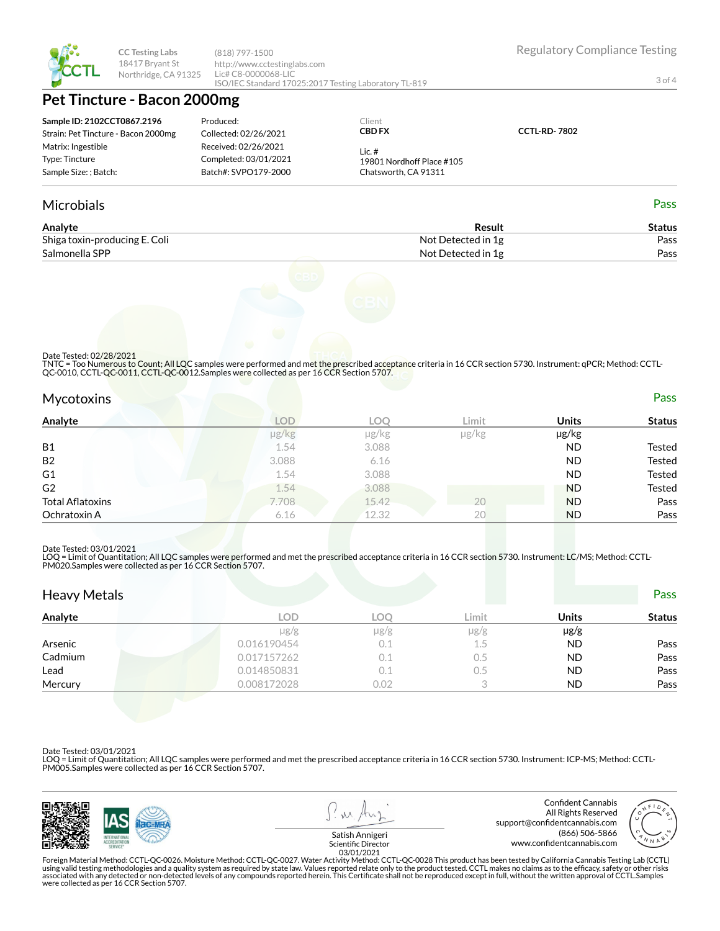

# **Pet Tincture - Bacon 2000mg**

| Sample ID: 2102CCT0867.2196<br>Strain: Pet Tincture - Bacon 2000mg | Produced:<br>Collected: 02/26/2021 | Client<br><b>CBD FX</b>   |
|--------------------------------------------------------------------|------------------------------------|---------------------------|
| Matrix: Ingestible                                                 | Received: 02/26/2021               | Lic. $#$                  |
| Type: Tincture                                                     | Completed: 03/01/2021              | 19801 Nordhoff Place #105 |
| Sample Size: ; Batch:                                              | Batch#: SVPO179-2000               | Chatsworth, CA 91311      |

## Microbials Pass

| Analyte                       | Result             | Status |
|-------------------------------|--------------------|--------|
| Shiga toxin-producing E. Coli | Not Detected in 1g | Pass   |
| Salmonella SPP                | Not Detected in 1g | Pass   |
|                               |                    |        |



Date Tested: 02/28/2021

TNTC = Too Numerous to Count; All LQC samples were performed and met the prescribed acceptance criteria in 16 CCR section 5730. Instrument: qPCR; Method: CCTL-<br>QC-0010, CCTL-QC-0011, CCTL-QC-0012.Samples were collected as

## Mycotoxins Pass

| . .                     |       |            |               |            |               |
|-------------------------|-------|------------|---------------|------------|---------------|
| Analyte                 | LOD   | <b>LOC</b> | Limit         | Units      | <b>Status</b> |
|                         | µg/kg | µg/kg      | $\mu$ g/ $kg$ | $\mu$ g/kg |               |
| <b>B1</b>               | 1.54  | 3.088      |               | <b>ND</b>  | <b>Tested</b> |
| <b>B2</b>               | 3.088 | 6.16       |               | <b>ND</b>  | <b>Tested</b> |
| G <sub>1</sub>          | 1.54  | 3.088      |               | <b>ND</b>  | <b>Tested</b> |
| G <sub>2</sub>          | 1.54  | 3.088      |               | <b>ND</b>  | <b>Tested</b> |
| <b>Total Aflatoxins</b> | 7.708 | 15.42      | 20            | <b>ND</b>  | Pass          |
| Ochratoxin A            | 6.16  | 12.32      | 20            | <b>ND</b>  | Pass          |

#### Date Tested: 03/01/2021

LOQ = Limit of Quantitation; All LQC samples were performed and met the prescribed acceptance criteria in 16 CCR section 5730. Instrument: LC/MS; Method: CCTL-<br>PM020.Samples were collected as per 16 CCR Section 5707.

| <b>Heavy Metals</b> |             |           |           |           | Pass          |
|---------------------|-------------|-----------|-----------|-----------|---------------|
| Analyte             | LOD         | LOO       | Limit     | Units     | <b>Status</b> |
|                     | $\mu$ g/g   | $\mu$ g/g | $\mu$ g/g | $\mu$ g/g |               |
| Arsenic             | 0.016190454 | 0.1       | 1.5       | <b>ND</b> | Pass          |
| Cadmium             | 0.017157262 | 0.1       | 0.5       | <b>ND</b> | Pass          |
| Lead                | 0.014850831 | 0.1       | $0.5\,$   | <b>ND</b> | Pass          |
| Mercury             | 0.008172028 | 0.02      |           | <b>ND</b> | Pass          |

Date Tested: 03/01/2021

LOQ = Limit of Quantitation; All LQC samples were performed and met the prescribed acceptance criteria in 16 CCR section 5730. Instrument: ICP-MS; Method: CCTL-PM005.Samples were collected as per 16 CCR Section 5707.



Regulatory Compliance Testing

**CCTL-RD- 7802**

3 of 4

Foreign Material Method: CCTL-QC-0026. Moisture Method: CCTL-QC-0027. Water Activity Method: CCTL-QC-0028 This product has been tested by California Cannabis Testing Lab (CCTL)<br>using valid testing methodologies and a quali were collected as per 16 CCR Section 5707. 03/01/2021